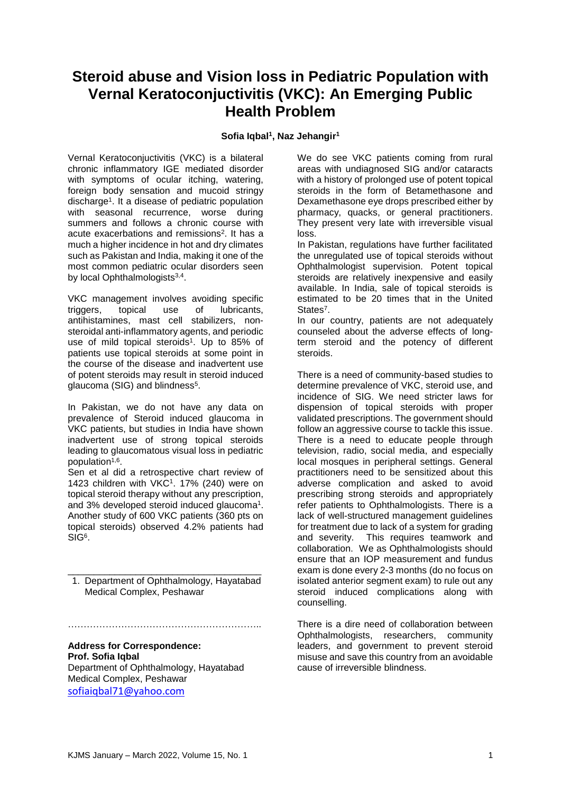## **Steroid abuse and Vision loss in Pediatric Population with Vernal Keratoconjuctivitis (VKC): An Emerging Public Health Problem**

## **Sofia Iqbal<sup>1</sup> , Naz Jehangir<sup>1</sup>**

Vernal Keratoconjuctivitis (VKC) is a bilateral chronic inflammatory IGE mediated disorder with symptoms of ocular itching, watering, foreign body sensation and mucoid stringy discharge<sup>1</sup>. It a disease of pediatric population with seasonal recurrence, worse during summers and follows a chronic course with acute exacerbations and remissions<sup>2</sup>. It has a much a higher incidence in hot and dry climates such as Pakistan and India, making it one of the most common pediatric ocular disorders seen by local Ophthalmologists<sup>3,4</sup>.

VKC management involves avoiding specific triggers, topical use of lubricants, antihistamines, mast cell stabilizers, nonsteroidal anti-inflammatory agents, and periodic use of mild topical steroids<sup>1</sup>. Up to 85% of patients use topical steroids at some point in the course of the disease and inadvertent use of potent steroids may result in steroid induced glaucoma (SIG) and blindness<sup>5</sup>.

In Pakistan, we do not have any data on prevalence of Steroid induced glaucoma in VKC patients, but studies in India have shown inadvertent use of strong topical steroids leading to glaucomatous visual loss in pediatric population<sup>1,6</sup>.

Sen et al did a retrospective chart review of 1423 children with VKC<sup>1</sup> . 17% (240) were on topical steroid therapy without any prescription, and 3% developed steroid induced glaucoma<sup>1</sup>. Another study of 600 VKC patients (360 pts on topical steroids) observed 4.2% patients had SIG<sup>6</sup>.

\_\_\_\_\_\_\_\_\_\_\_\_\_\_\_\_\_\_\_\_\_\_\_\_\_\_\_\_\_\_\_\_\_\_\_\_\_ 1. Department of Ophthalmology, Hayatabad Medical Complex, Peshawar

……………………………………………………..

## **Address for Correspondence: Prof. Sofia Iqbal**

Department of Ophthalmology, Hayatabad Medical Complex, Peshawar [sofiaiqbal71@yahoo.com](mailto:sofiaiqbal71@yahoo.com)

We do see VKC patients coming from rural areas with undiagnosed SIG and/or cataracts with a history of prolonged use of potent topical steroids in the form of Betamethasone and Dexamethasone eye drops prescribed either by pharmacy, quacks, or general practitioners. They present very late with irreversible visual loss.

In Pakistan, regulations have further facilitated the unregulated use of topical steroids without Ophthalmologist supervision. Potent topical steroids are relatively inexpensive and easily available. In India, sale of topical steroids is estimated to be 20 times that in the United States<sup>7</sup>.

In our country, patients are not adequately counseled about the adverse effects of longterm steroid and the potency of different steroids.

There is a need of community-based studies to determine prevalence of VKC, steroid use, and incidence of SIG. We need stricter laws for dispension of topical steroids with proper validated prescriptions. The government should follow an aggressive course to tackle this issue. There is a need to educate people through television, radio, social media, and especially local mosques in peripheral settings. General practitioners need to be sensitized about this adverse complication and asked to avoid prescribing strong steroids and appropriately refer patients to Ophthalmologists. There is a lack of well-structured management guidelines for treatment due to lack of a system for grading and severity. This requires teamwork and collaboration. We as Ophthalmologists should ensure that an IOP measurement and fundus exam is done every 2-3 months (do no focus on isolated anterior segment exam) to rule out any steroid induced complications along with counselling.

There is a dire need of collaboration between Ophthalmologists, researchers, community leaders, and government to prevent steroid misuse and save this country from an avoidable cause of irreversible blindness.